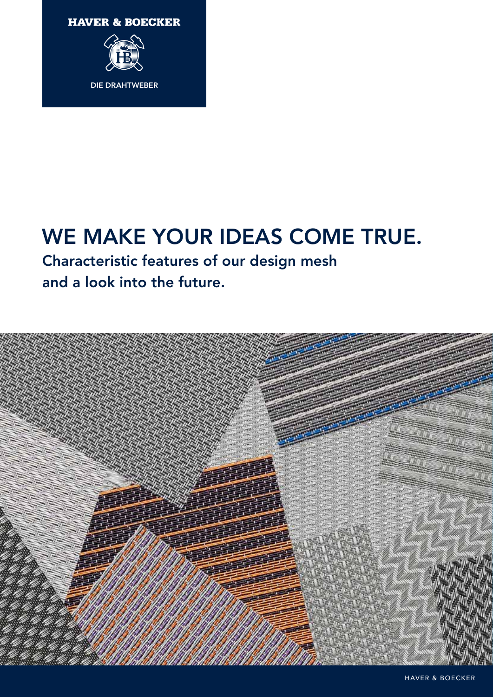



### WE MAKE YOUR IDEAS COME TRUE.

Characteristic features of our design mesh and a look into the future.

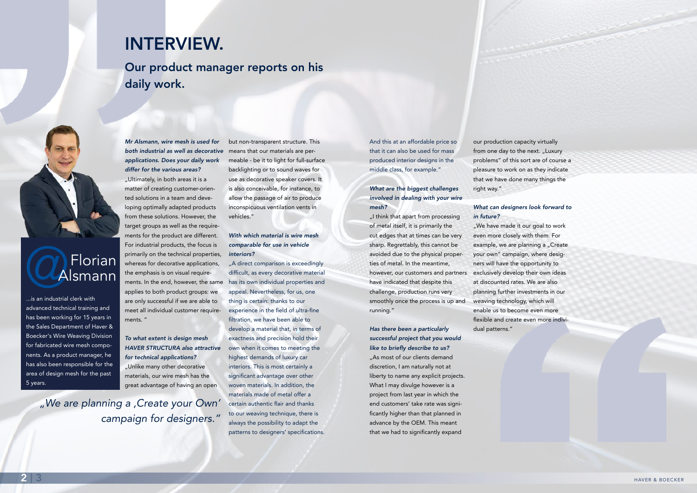# CAFlorian Alsmann

...is an industrial clerk with advanced technical training and has been working for 15 years in the Sales Department of Haver & Boecker's Wire Weaving Division for fabricated wire mesh components. As a product manager, he has also been responsible for the area of design mesh for the past 5 years.

*Mr Alsmann, wire mesh is used for both industrial as well as decorative applications. Does your daily work differ for the various areas?*

"Ultimately, in both areas it is a matter of creating customer-oriented solutions in a team and developing optimally adapted products from these solutions. However, the target groups as well as the requirements for the product are different. For industrial products, the focus is primarily on the technical properties, whereas for decorative applications, the emphasis is on visual requirements. In the end, however, the same applies to both product groups: we are only successful if we are able to meet all individual customer requirements. "

#### *To what extent is design mesh HAVER STRUCTURA also attractive for technical applications?*

"A direct comparison is exceedingly difficult, as every decorative material has its own individual properties and appeal. Nevertheless, for us, one thing is certain: thanks to our experience in the field of ultra-fine filtration, we have been able to develop a material that, in terms of exactness and precision hold their own when it comes to meeting the highest demands of luxury car interiors. This is most certainly a significant advantage over other woven materials. In addition, the materials made of metal offer a certain authentic flair and thanks to our weaving technique, there is always the possibility to adapt the patterns to designers' specifications.

"Unlike many other decorative materials, our wire mesh has the great advantage of having an open but non-transparent structure. This means that our materials are permeable - be it to light for full-surface backlighting or to sound waves for use as decorative speaker covers. It is also conceivable, for instance, to allow the passage of air to produce inconspicuous ventilation vents in vehicles."

... I think that apart from processing of metal itself, it is primarily the cut edges that at times can be very sharp. Regrettably, this cannot be avoided due to the physical properties of metal. In the meantime, however, our customers and partners have indicated that despite this challenge, production runs very smoothly once the process is up and running."

#### *With which material is wire mesh comparable for use in vehicle interiors?*

"We have made it our goal to work even more closely with them. For example, we are planning a "Create your own" campaign, where designers will have the opportunity to exclusively develop their own ideas at discounted rates. We are also planning further investments in our weaving technology, which will enable us to become even more flexible and create even more individual patterns."

And this at an affordable price so that it can also be used for mass produced interior designs in the middle class, for example."

#### *What are the biggest challenges involved in dealing with your wire mesh?*

*Has there been a particularly successful project that you would like to briefly describe to us?* "As most of our clients demand discretion, I am naturally not at liberty to name any explicit projects. What I may divulge however is a project from last year in which the end customers' take rate was significantly higher than that planned in

advance by the OEM. This meant that we had to significantly expand

our production capacity virtually from one day to the next. "Luxury problems" of this sort are of course a pleasure to work on as they indicate that we have done many things the right way."

#### *What can designers look forward to in future?*

*"We are planning a 'Create your Own' campaign for designers."*

## INTERVIEW.

Our product manager reports on his daily work.